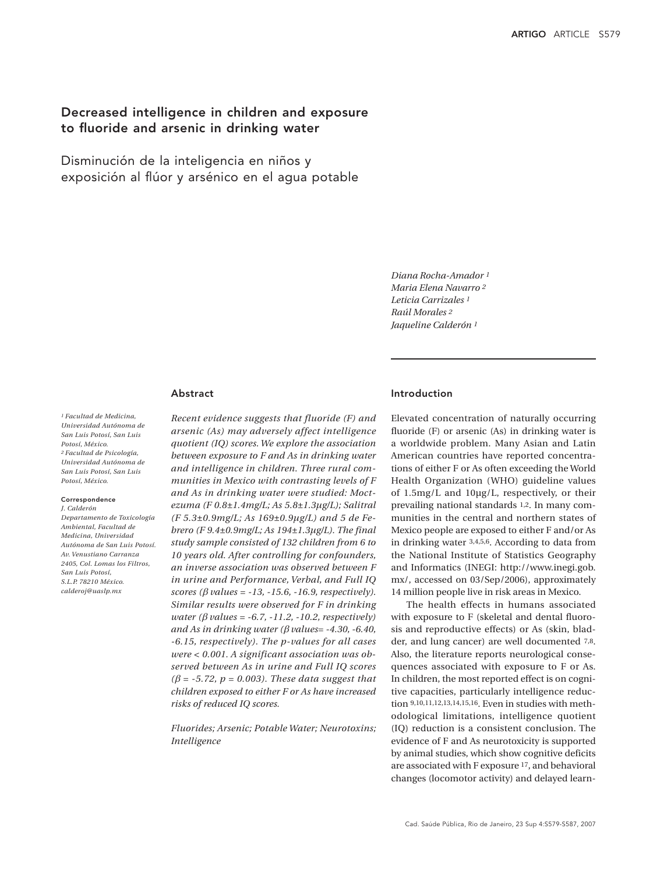# Decreased intelligence in children and exposure to fluoride and arsenic in drinking water

Disminución de la inteligencia en niños y exposición al flúor y arsénico en el agua potable

> *Diana Rocha-Amador 1 Maria Elena Navarro 2 Leticia Carrizales 1 Raúl Morales 2 Jaqueline Calderón 1*

### Abstract

*1 Facultad de Medicina, Universidad Autónoma de San Luis Potosí, San Luis Potosí, México. 2 Facultad de Psicología, Universidad Autónoma de San Luis Potosí, San Luis Potosí, México.*

### Correspondence

*J. Calderón Departamento de Toxicología Ambiental, Facultad de Medicina, Universidad Autónoma de San Luis Potosí. Av. Venustiano Carranza 2405, Col. Lomas los Filtros, San Luis Potosí, S.L.P. 78210 México. calderoj@uaslp.mx*

*Recent evidence suggests that fluoride (F) and arsenic (As) may adversely affect intelligence quotient (IQ) scores. We explore the association between exposure to F and As in drinking water and intelligence in children. Three rural communities in Mexico with contrasting levels of F and As in drinking water were studied: Moctezuma (F 0.8±1.4mg/L; As 5.8±1.3µg/L); Salitral (F 5.3±0.9mg/L; As 169±0.9µg/L) and 5 de Febrero (F 9.4±0.9mg/L; As 194±1.3µg/L). The final study sample consisted of 132 children from 6 to 10 years old. After controlling for confounders, an inverse association was observed between F in urine and Performance, Verbal, and Full IQ scores (*β *values = -13, -15.6, -16.9, respectively). Similar results were observed for F in drinking water (*β *values = -6.7, -11.2, -10.2, respectively) and As in drinking water (*β *values= -4.30, -6.40, -6.15, respectively). The p-values for all cases were < 0.001. A significant association was observed between As in urine and Full IQ scores*   $(\beta = -5.72, p = 0.003)$ . These data suggest that *children exposed to either F or As have increased risks of reduced IQ scores.*

*Fluorides; Arsenic; Potable Water; Neurotoxins; Intelligence*

# Introduction

Elevated concentration of naturally occurring fluoride (F) or arsenic (As) in drinking water is a worldwide problem. Many Asian and Latin American countries have reported concentrations of either F or As often exceeding the World Health Organization (WHO) guideline values of 1.5mg/L and 10µg/L, respectively, or their prevailing national standards 1,2. In many communities in the central and northern states of Mexico people are exposed to either F and/or As in drinking water 3,4,5,6. According to data from the National Institute of Statistics Geography and Informatics (INEGI: http://www.inegi.gob. mx/, accessed on 03/Sep/2006), approximately 14 million people live in risk areas in Mexico.

The health effects in humans associated with exposure to F (skeletal and dental fluorosis and reproductive effects) or As (skin, bladder, and lung cancer) are well documented 7,8. Also, the literature reports neurological consequences associated with exposure to F or As. In children, the most reported effect is on cognitive capacities, particularly intelligence reduction 9,10,11,12,13,14,15,16. Even in studies with methodological limitations, intelligence quotient (IQ) reduction is a consistent conclusion. The evidence of F and As neurotoxicity is supported by animal studies, which show cognitive deficits are associated with F exposure 17, and behavioral changes (locomotor activity) and delayed learn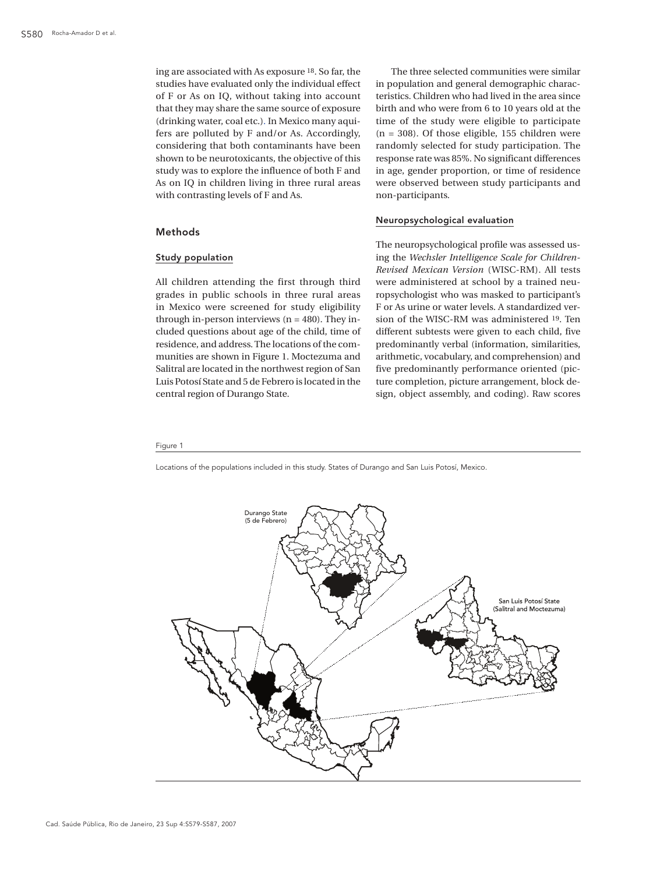ing are associated with As exposure 18. So far, the studies have evaluated only the individual effect of F or As on IQ, without taking into account that they may share the same source of exposure (drinking water, coal etc.). In Mexico many aquifers are polluted by F and/or As. Accordingly, considering that both contaminants have been shown to be neurotoxicants, the objective of this study was to explore the influence of both F and As on IQ in children living in three rural areas with contrasting levels of F and As.

### Methods

## Study population

All children attending the first through third grades in public schools in three rural areas in Mexico were screened for study eligibility through in-person interviews  $(n = 480)$ . They included questions about age of the child, time of residence, and address. The locations of the communities are shown in Figure 1. Moctezuma and Salitral are located in the northwest region of San Luis Potosí State and 5 de Febrero is located in the central region of Durango State.

The three selected communities were similar in population and general demographic characteristics. Children who had lived in the area since birth and who were from 6 to 10 years old at the time of the study were eligible to participate  $(n = 308)$ . Of those eligible, 155 children were randomly selected for study participation. The response rate was 85%. No significant differences in age, gender proportion, or time of residence were observed between study participants and non-participants.

### Neuropsychological evaluation

The neuropsychological profile was assessed using the *Wechsler Intelligence Scale for Children-Revised Mexican Version* (WISC-RM). All tests were administered at school by a trained neuropsychologist who was masked to participant's F or As urine or water levels. A standardized version of the WISC-RM was administered 19. Ten different subtests were given to each child, five predominantly verbal (information, similarities, arithmetic, vocabulary, and comprehension) and five predominantly performance oriented (picture completion, picture arrangement, block design, object assembly, and coding). Raw scores

### Figure 1

Locations of the populations included in this study. States of Durango and San Luis Potosí, Mexico.

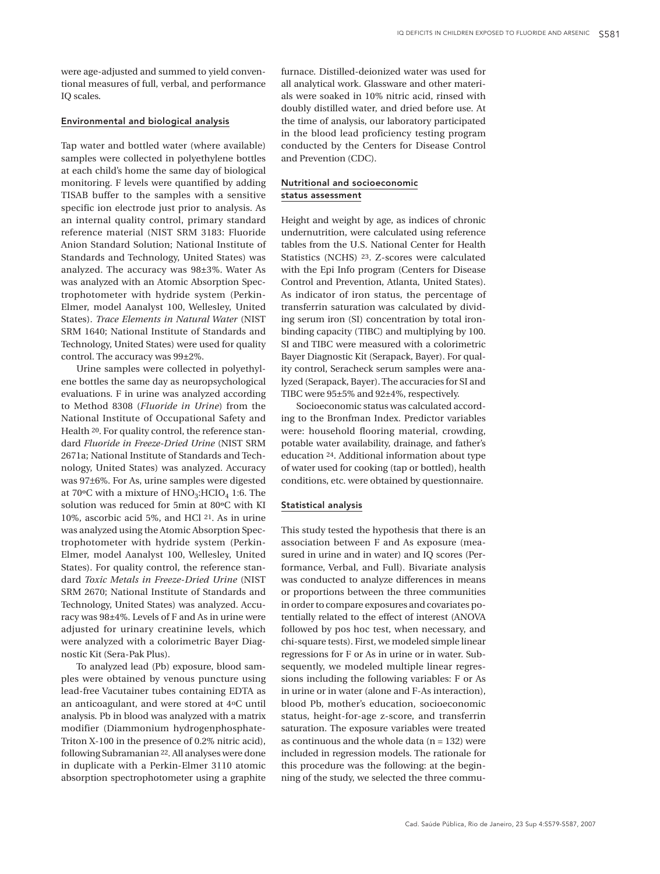were age-adjusted and summed to yield conventional measures of full, verbal, and performance IQ scales.

### Environmental and biological analysis

Tap water and bottled water (where available) samples were collected in polyethylene bottles at each child's home the same day of biological monitoring. F levels were quantified by adding TISAB buffer to the samples with a sensitive specific ion electrode just prior to analysis. As an internal quality control, primary standard reference material (NIST SRM 3183: Fluoride Anion Standard Solution; National Institute of Standards and Technology, United States) was analyzed. The accuracy was 98±3%. Water As was analyzed with an Atomic Absorption Spectrophotometer with hydride system (Perkin-Elmer, model Aanalyst 100, Wellesley, United States). *Trace Elements in Natural Water* (NIST SRM 1640; National Institute of Standards and Technology, United States) were used for quality control. The accuracy was 99±2%.

Urine samples were collected in polyethylene bottles the same day as neuropsychological evaluations. F in urine was analyzed according to Method 8308 (*Fluoride in Urine*) from the National Institute of Occupational Safety and Health 20. For quality control, the reference standard *Fluoride in Freeze-Dried Urine* (NIST SRM 2671a; National Institute of Standards and Technology, United States) was analyzed. Accuracy was 97±6%. For As, urine samples were digested at 70 $\rm ^{o}C$  with a mixture of  $\rm HNO_3$ :HCIO<sub>4</sub> 1:6. The solution was reduced for 5min at 80ºC with KI 10%, ascorbic acid 5%, and HCl 21. As in urine was analyzed using the Atomic Absorption Spectrophotometer with hydride system (Perkin-Elmer, model Aanalyst 100, Wellesley, United States). For quality control, the reference standard *Toxic Metals in Freeze-Dried Urine* (NIST SRM 2670; National Institute of Standards and Technology, United States) was analyzed. Accuracy was 98±4%. Levels of F and As in urine were adjusted for urinary creatinine levels, which were analyzed with a colorimetric Bayer Diagnostic Kit (Sera-Pak Plus).

To analyzed lead (Pb) exposure, blood samples were obtained by venous puncture using lead-free Vacutainer tubes containing EDTA as an anticoagulant, and were stored at 4oC until analysis. Pb in blood was analyzed with a matrix modifier (Diammonium hydrogenphosphate-Triton X-100 in the presence of 0.2% nitric acid), following Subramanian 22. All analyses were done in duplicate with a Perkin-Elmer 3110 atomic absorption spectrophotometer using a graphite

furnace. Distilled-deionized water was used for all analytical work. Glassware and other materials were soaked in 10% nitric acid, rinsed with doubly distilled water, and dried before use. At the time of analysis, our laboratory participated in the blood lead proficiency testing program conducted by the Centers for Disease Control and Prevention (CDC).

## Nutritional and socioeconomic status assessment

Height and weight by age, as indices of chronic undernutrition, were calculated using reference tables from the U.S. National Center for Health Statistics (NCHS) 23. Z-scores were calculated with the Epi Info program (Centers for Disease Control and Prevention, Atlanta, United States). As indicator of iron status, the percentage of transferrin saturation was calculated by dividing serum iron (SI) concentration by total ironbinding capacity (TIBC) and multiplying by 100. SI and TIBC were measured with a colorimetric Bayer Diagnostic Kit (Serapack, Bayer). For quality control, Seracheck serum samples were analyzed (Serapack, Bayer). The accuracies for SI and TIBC were 95±5% and 92±4%, respectively.

Socioeconomic status was calculated according to the Bronfman Index. Predictor variables were: household flooring material, crowding, potable water availability, drainage, and father's education 24. Additional information about type of water used for cooking (tap or bottled), health conditions, etc. were obtained by questionnaire.

### Statistical analysis

This study tested the hypothesis that there is an association between F and As exposure (measured in urine and in water) and IQ scores (Performance, Verbal, and Full). Bivariate analysis was conducted to analyze differences in means or proportions between the three communities in order to compare exposures and covariates potentially related to the effect of interest (ANOVA followed by pos hoc test, when necessary, and chi-square tests). First, we modeled simple linear regressions for F or As in urine or in water. Subsequently, we modeled multiple linear regressions including the following variables: F or As in urine or in water (alone and F-As interaction), blood Pb, mother's education, socioeconomic status, height-for-age z-score, and transferrin saturation. The exposure variables were treated as continuous and the whole data  $(n = 132)$  were included in regression models. The rationale for this procedure was the following: at the beginning of the study, we selected the three commu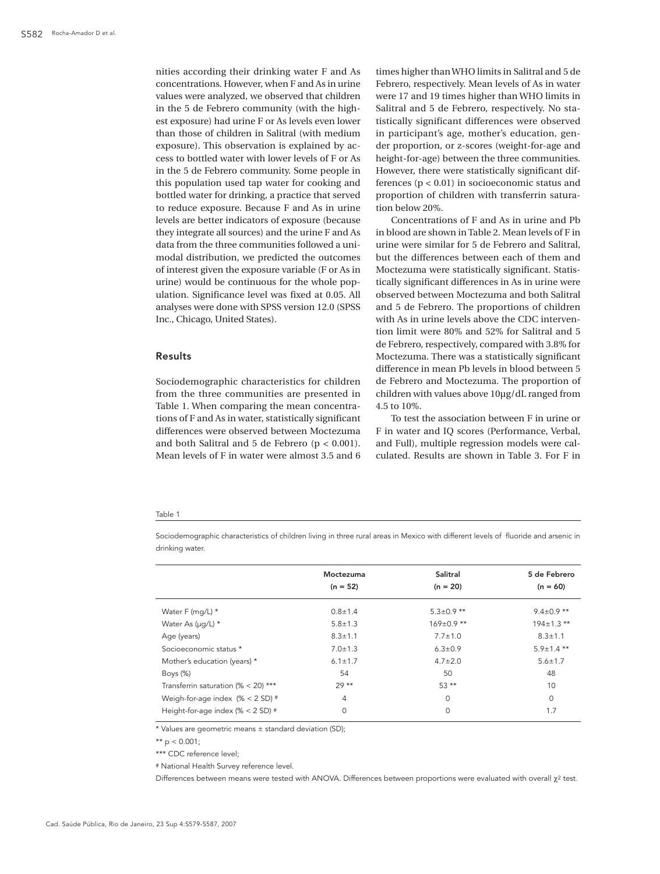nities according their drinking water F and As concentrations. However, when F and As in urine values were analyzed, we observed that children in the 5 de Febrero community (with the highest exposure) had urine F or As levels even lower than those of children in Salitral (with medium exposure). This observation is explained by access to bottled water with lower levels of F or As in the 5 de Febrero community. Some people in this population used tap water for cooking and bottled water for drinking, a practice that served to reduce exposure. Because F and As in urine levels are better indicators of exposure (because they integrate all sources) and the urine F and As data from the three communities followed a unimodal distribution, we predicted the outcomes of interest given the exposure variable (F or As in urine) would be continuous for the whole population. Significance level was fixed at 0.05. All analyses were done with SPSS version 12.0 (SPSS Inc., Chicago, United States).

### Results

Sociodemographic characteristics for children from the three communities are presented in Table 1. When comparing the mean concentrations of F and As in water, statistically significant differences were observed between Moctezuma and both Salitral and 5 de Febrero (p < 0.001). Mean levels of F in water were almost 3.5 and 6

times higher than WHO limits in Salitral and 5 de Febrero, respectively. Mean levels of As in water were 17 and 19 times higher than WHO limits in Salitral and 5 de Febrero, respectively. No statistically significant differences were observed in participant's age, mother's education, gender proportion, or z-scores (weight-for-age and height-for-age) between the three communities. However, there were statistically significant differences (p < 0.01) in socioeconomic status and proportion of children with transferrin saturation below 20%.

Concentrations of F and As in urine and Pb in blood are shown in Table 2. Mean levels of F in urine were similar for 5 de Febrero and Salitral, but the differences between each of them and Moctezuma were statistically significant. Statistically significant differences in As in urine were observed between Moctezuma and both Salitral and 5 de Febrero. The proportions of children with As in urine levels above the CDC intervention limit were 80% and 52% for Salitral and 5 de Febrero, respectively, compared with 3.8% for Moctezuma. There was a statistically significant difference in mean Pb levels in blood between 5 de Febrero and Moctezuma. The proportion of children with values above 10µg/dL ranged from 4.5 to 10%.

To test the association between F in urine or F in water and IQ scores (Performance, Verbal, and Full), multiple regression models were calculated. Results are shown in Table 3. For F in

#### Table 1

Sociodemographic characteristics of children living in three rural areas in Mexico with different levels of fluoride and arsenic in drinking water.

|                                       | Moctezuma     | Salitral         | 5 de Febrero     |  |
|---------------------------------------|---------------|------------------|------------------|--|
|                                       | $(n = 52)$    | $(n = 20)$       | $(n = 60)$       |  |
| Water F (mg/L) *                      | $0.8 \pm 1.4$ | $5.3 \pm 0.9$ ** | $9.4 \pm 0.9$ ** |  |
| Water As (µq/L) *                     | $5.8 \pm 1.3$ | $169 \pm 0.9$ ** | $194 \pm 1.3$ ** |  |
| Age (years)                           | $8.3 \pm 1.1$ | $7.7 \pm 1.0$    | $8.3 \pm 1.1$    |  |
| Socioeconomic status *                | $7.0 \pm 1.3$ | $6.3 \pm 0.9$    | $5.9 \pm 1.4$ ** |  |
| Mother's education (years) *          | $6.1 \pm 1.7$ | $4.7 \pm 2.0$    | $5.6 \pm 1.7$    |  |
| Boys (%)                              | 54            | 50               | 48               |  |
| Transferrin saturation (% $<$ 20) *** | $29**$        | $53**$           | 10               |  |
| Weigh-for-age index $(\% < 2 SD)$ #   | 4             | $\Omega$         | $\circ$          |  |
| Height-for-age index (% $<$ 2 SD) $#$ | 0             | $\Omega$         | 1.7              |  |

\* Values are geometric means ± standard deviation (SD);

\*\*  $p < 0.001$ ;

\*\*\* CDC reference level;

# National Health Survey reference level.

Differences between means were tested with ANOVA. Differences between proportions were evaluated with overall χ<sup>2</sup> test.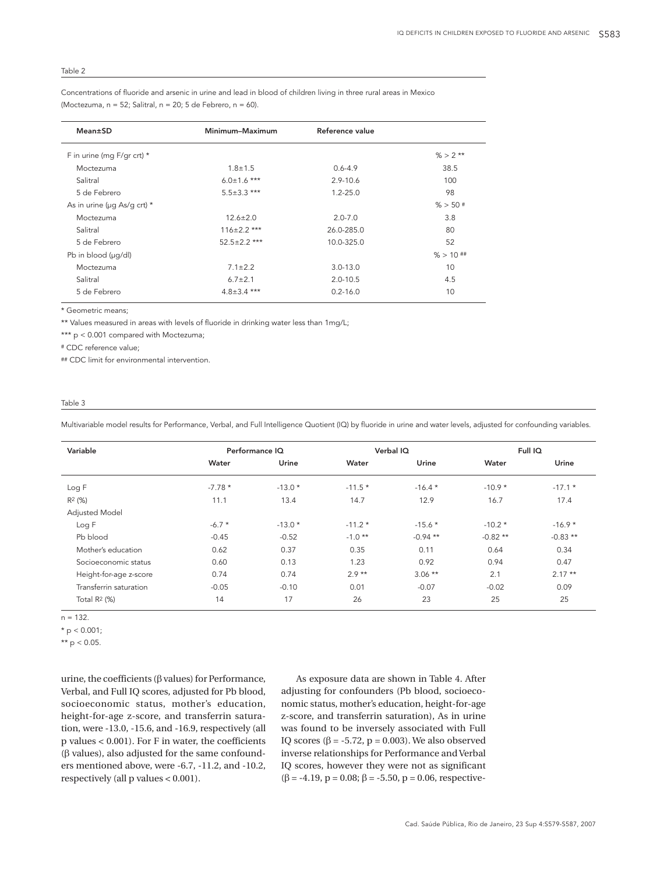### Table 2

Concentrations of fluoride and arsenic in urine and lead in blood of children living in three rural areas in Mexico (Moctezuma,  $n = 52$ ; Salitral,  $n = 20$ ; 5 de Febrero,  $n = 60$ ).

| Mean±SD                           | Minimum-Maximum    | Reference value |             |
|-----------------------------------|--------------------|-----------------|-------------|
| F in urine (mg F/gr crt) *        |                    |                 | $% > 2$ **  |
| Moctezuma                         | $1.8 \pm 1.5$      | $0.6 - 4.9$     | 38.5        |
| Salitral                          | $6.0 \pm 1.6$ ***  | $2.9 - 10.6$    | 100         |
| 5 de Febrero                      | $5.5 \pm 3.3$ ***  | $1.2 - 25.0$    | 98          |
| As in urine ( $\mu$ q As/q crt) * |                    |                 | $% > 50$ #  |
| Moctezuma                         | $12.6 \pm 2.0$     | $2.0 - 7.0$     | 3.8         |
| Salitral                          | $116 \pm 2.2$ ***  | 26.0-285.0      | 80          |
| 5 de Febrero                      | $52.5 \pm 2.2$ *** | 10.0-325.0      | 52          |
| Pb in blood (µg/dl)               |                    |                 | $% > 10$ ## |
| Moctezuma                         | $7.1 \pm 2.2$      | $3.0 - 13.0$    | 10          |
| Salitral                          | $6.7 \pm 2.1$      | $2.0 - 10.5$    | 4.5         |
| 5 de Febrero                      | $4.8 \pm 3.4$ ***  | $0.2 - 16.0$    | 10          |

\* Geometric means;

\*\* Values measured in areas with levels of fluoride in drinking water less than 1mg/L;

\*\*\* p < 0.001 compared with Moctezuma;

# CDC reference value;

## CDC limit for environmental intervention.

### Table 3

Multivariable model results for Performance, Verbal, and Full Intelligence Quotient (IQ) by fluoride in urine and water levels, adjusted for confounding variables.

| Variable               | Performance IQ |          | Verbal IQ |            | Full IQ   |           |
|------------------------|----------------|----------|-----------|------------|-----------|-----------|
|                        | Water          | Urine    | Water     | Urine      | Water     | Urine     |
| Log F                  | $-7.78*$       | $-13.0*$ | $-11.5*$  | $-16.4*$   | $-10.9*$  | $-17.1*$  |
| R <sub>2</sub> (%)     | 11.1           | 13.4     | 14.7      | 12.9       | 16.7      | 17.4      |
| Adjusted Model         |                |          |           |            |           |           |
| Log F                  | $-6.7 *$       | $-13.0*$ | $-11.2*$  | $-15.6*$   | $-10.2*$  | $-16.9*$  |
| Pb blood               | $-0.45$        | $-0.52$  | $-1.0**$  | $-0.94$ ** | $-0.82**$ | $-0.83**$ |
| Mother's education     | 0.62           | 0.37     | 0.35      | 0.11       | 0.64      | 0.34      |
| Socioeconomic status   | 0.60           | 0.13     | 1.23      | 0.92       | 0.94      | 0.47      |
| Height-for-age z-score | 0.74           | 0.74     | $2.9**$   | $3.06$ **  | 2.1       | $2.17**$  |
| Transferrin saturation | $-0.05$        | $-0.10$  | 0.01      | $-0.07$    | $-0.02$   | 0.09      |
| Total $R^2$ (%)        | 14             | 17       | 26        | 23         | 25        | 25        |

### $n = 132.$

 $* p < 0.001;$ 

\*\*  $p < 0.05$ .

urine, the coefficients (β values) for Performance, Verbal, and Full IQ scores, adjusted for Pb blood, socioeconomic status, mother's education, height-for-age z-score, and transferrin saturation, were -13.0, -15.6, and -16.9, respectively (all p values < 0.001). For F in water, the coefficients (β values), also adjusted for the same confounders mentioned above, were -6.7, -11.2, and -10.2, respectively (all p values < 0.001).

As exposure data are shown in Table 4. After adjusting for confounders (Pb blood, socioeconomic status, mother's education, height-for-age z-score, and transferrin saturation), As in urine was found to be inversely associated with Full IQ scores ( $\beta$  = -5.72, p = 0.003). We also observed inverse relationships for Performance and Verbal IQ scores, however they were not as significant  $(β = -4.19, p = 0.08; β = -5.50, p = 0.06, respectively)$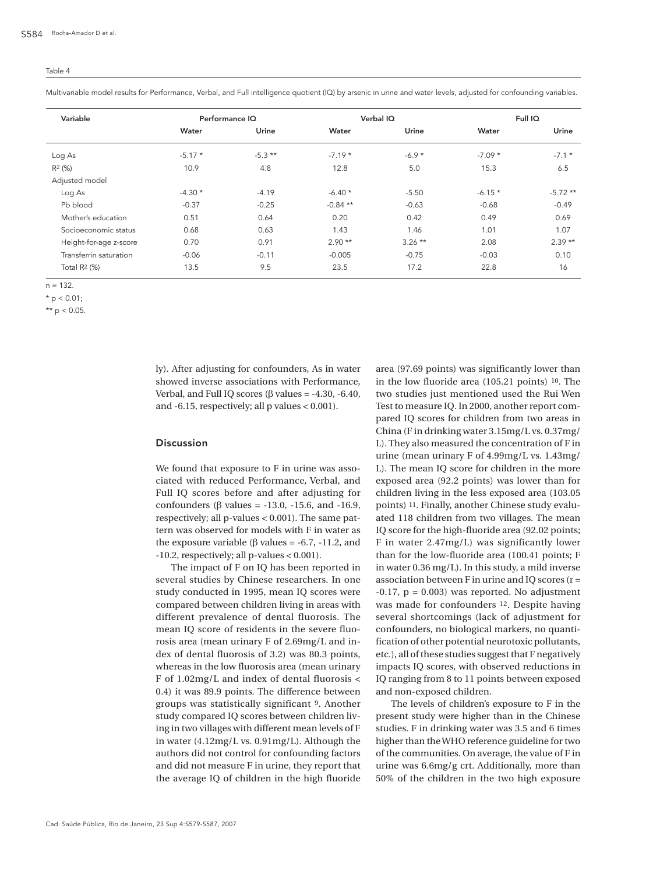### Table 4

Multivariable model results for Performance, Verbal, and Full intelligence quotient (IQ) by arsenic in urine and water levels, adjusted for confounding variables.

| Variable               | Performance IQ |           | Verbal IQ  |          | Full IQ  |           |
|------------------------|----------------|-----------|------------|----------|----------|-----------|
|                        | Water          | Urine     | Water      | Urine    | Water    | Urine     |
| Log As                 | $-5.17*$       | $-5.3$ ** | $-7.19*$   | $-6.9*$  | $-7.09*$ | $-7.1*$   |
| $R^2$ (%)              | 10.9           | 4.8       | 12.8       | 5.0      | 15.3     | 6.5       |
| Adjusted model         |                |           |            |          |          |           |
| Log As                 | $-4.30*$       | $-4.19$   | $-6.40*$   | $-5.50$  | $-6.15*$ | $-5.72**$ |
| Pb blood               | $-0.37$        | $-0.25$   | $-0.84$ ** | $-0.63$  | $-0.68$  | $-0.49$   |
| Mother's education     | 0.51           | 0.64      | 0.20       | 0.42     | 0.49     | 0.69      |
| Socioeconomic status   | 0.68           | 0.63      | 1.43       | 1.46     | 1.01     | 1.07      |
| Height-for-age z-score | 0.70           | 0.91      | $2.90**$   | $3.26**$ | 2.08     | $2.39**$  |
| Transferrin saturation | $-0.06$        | $-0.11$   | $-0.005$   | $-0.75$  | $-0.03$  | 0.10      |
| Total $R^2$ (%)        | 13.5           | 9.5       | 23.5       | 17.2     | 22.8     | 16        |

 $n = 132$ .

 $*$  p < 0.01;

\*\*  $p < 0.05$ .

ly). After adjusting for confounders, As in water showed inverse associations with Performance, Verbal, and Full IQ scores ( $\beta$  values = -4.30, -6.40, and  $-6.15$ , respectively; all p values  $< 0.001$ ).

### Discussion

We found that exposure to F in urine was associated with reduced Performance, Verbal, and Full IQ scores before and after adjusting for confounders (β values = -13.0, -15.6, and -16.9, respectively; all p-values < 0.001). The same pattern was observed for models with F in water as the exposure variable (β values =  $-6.7$ ,  $-11.2$ , and -10.2, respectively; all p-values < 0.001).

The impact of F on IQ has been reported in several studies by Chinese researchers. In one study conducted in 1995, mean IQ scores were compared between children living in areas with different prevalence of dental fluorosis. The mean IQ score of residents in the severe fluorosis area (mean urinary F of 2.69mg/L and index of dental fluorosis of 3.2) was 80.3 points, whereas in the low fluorosis area (mean urinary F of 1.02mg/L and index of dental fluorosis < 0.4) it was 89.9 points. The difference between groups was statistically significant 9. Another study compared IQ scores between children living in two villages with different mean levels of F in water (4.12mg/L vs. 0.91mg/L). Although the authors did not control for confounding factors and did not measure F in urine, they report that the average IQ of children in the high fluoride area (97.69 points) was significantly lower than in the low fluoride area (105.21 points) 10. The two studies just mentioned used the Rui Wen Test to measure IQ. In 2000, another report compared IQ scores for children from two areas in China (F in drinking water 3.15mg/L vs. 0.37mg/ L). They also measured the concentration of F in urine (mean urinary F of 4.99mg/L vs. 1.43mg/ L). The mean IQ score for children in the more exposed area (92.2 points) was lower than for children living in the less exposed area (103.05 points) 11. Finally, another Chinese study evaluated 118 children from two villages. The mean IQ score for the high-fluoride area (92.02 points; F in water 2.47mg/L) was significantly lower than for the low-fluoride area (100.41 points; F in water 0.36 mg/L). In this study, a mild inverse association between F in urine and IQ scores  $(r =$  $-0.17$ ,  $p = 0.003$ ) was reported. No adjustment was made for confounders 12. Despite having several shortcomings (lack of adjustment for confounders, no biological markers, no quantification of other potential neurotoxic pollutants, etc.), all of these studies suggest that F negatively impacts IQ scores, with observed reductions in IQ ranging from 8 to 11 points between exposed and non-exposed children.

The levels of children's exposure to F in the present study were higher than in the Chinese studies. F in drinking water was 3.5 and 6 times higher than the WHO reference guideline for two of the communities. On average, the value of F in urine was 6.6mg/g crt. Additionally, more than 50% of the children in the two high exposure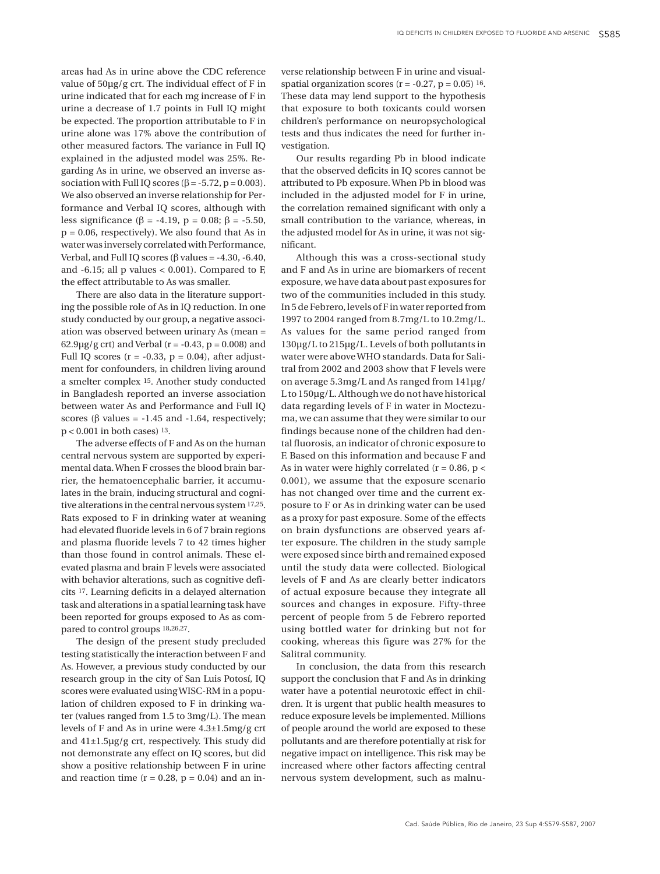areas had As in urine above the CDC reference value of 50µg/g crt. The individual effect of F in urine indicated that for each mg increase of F in urine a decrease of 1.7 points in Full IQ might be expected. The proportion attributable to F in urine alone was 17% above the contribution of other measured factors. The variance in Full IQ explained in the adjusted model was 25%. Regarding As in urine, we observed an inverse association with Full IQ scores ( $\beta$  = -5.72, p = 0.003). We also observed an inverse relationship for Performance and Verbal IQ scores, although with less significance (β = -4.19, p = 0.08; β = -5.50,  $p = 0.06$ , respectively). We also found that As in water was inversely correlated with Performance, Verbal, and Full IQ scores ( $\beta$  values = -4.30, -6.40, and  $-6.15$ ; all p values  $< 0.001$ ). Compared to F, the effect attributable to As was smaller.

There are also data in the literature supporting the possible role of As in IQ reduction. In one study conducted by our group, a negative association was observed between urinary As (mean =  $62.9\mu$ g crt) and Verbal (r = -0.43, p = 0.008) and Full IQ scores  $(r = -0.33, p = 0.04)$ , after adjustment for confounders, in children living around a smelter complex 15. Another study conducted in Bangladesh reported an inverse association between water As and Performance and Full IQ scores ( $\beta$  values = -1.45 and -1.64, respectively; p < 0.001 in both cases) 13.

The adverse effects of F and As on the human central nervous system are supported by experimental data. When F crosses the blood brain barrier, the hematoencephalic barrier, it accumulates in the brain, inducing structural and cognitive alterations in the central nervous system 17,25. Rats exposed to F in drinking water at weaning had elevated fluoride levels in 6 of 7 brain regions and plasma fluoride levels 7 to 42 times higher than those found in control animals. These elevated plasma and brain F levels were associated with behavior alterations, such as cognitive deficits 17. Learning deficits in a delayed alternation task and alterations in a spatial learning task have been reported for groups exposed to As as compared to control groups 18,26,27.

The design of the present study precluded testing statistically the interaction between F and As. However, a previous study conducted by our research group in the city of San Luis Potosí, IQ scores were evaluated using WISC-RM in a population of children exposed to F in drinking water (values ranged from 1.5 to 3mg/L). The mean levels of F and As in urine were 4.3±1.5mg/g crt and 41±1.5µg/g crt, respectively. This study did not demonstrate any effect on IQ scores, but did show a positive relationship between F in urine and reaction time  $(r = 0.28, p = 0.04)$  and an in-

verse relationship between F in urine and visualspatial organization scores ( $r = -0.27$ ,  $p = 0.05$ ) 16. These data may lend support to the hypothesis that exposure to both toxicants could worsen children's performance on neuropsychological tests and thus indicates the need for further investigation.

Our results regarding Pb in blood indicate that the observed deficits in IQ scores cannot be attributed to Pb exposure. When Pb in blood was included in the adjusted model for F in urine, the correlation remained significant with only a small contribution to the variance, whereas, in the adjusted model for As in urine, it was not significant.

Although this was a cross-sectional study and F and As in urine are biomarkers of recent exposure, we have data about past exposures for two of the communities included in this study. In 5 de Febrero, levels of F in water reported from 1997 to 2004 ranged from 8.7mg/L to 10.2mg/L. As values for the same period ranged from 130µg/L to 215µg/L. Levels of both pollutants in water were above WHO standards. Data for Salitral from 2002 and 2003 show that F levels were on average 5.3mg/L and As ranged from 141µg/ L to 150µg/L. Although we do not have historical data regarding levels of F in water in Moctezuma, we can assume that they were similar to our findings because none of the children had dental fluorosis, an indicator of chronic exposure to F. Based on this information and because F and As in water were highly correlated ( $r = 0.86$ ,  $p <$ 0.001), we assume that the exposure scenario has not changed over time and the current exposure to F or As in drinking water can be used as a proxy for past exposure. Some of the effects on brain dysfunctions are observed years after exposure. The children in the study sample were exposed since birth and remained exposed until the study data were collected. Biological levels of F and As are clearly better indicators of actual exposure because they integrate all sources and changes in exposure. Fifty-three percent of people from 5 de Febrero reported using bottled water for drinking but not for cooking, whereas this figure was 27% for the Salitral community.

In conclusion, the data from this research support the conclusion that F and As in drinking water have a potential neurotoxic effect in children. It is urgent that public health measures to reduce exposure levels be implemented. Millions of people around the world are exposed to these pollutants and are therefore potentially at risk for negative impact on intelligence. This risk may be increased where other factors affecting central nervous system development, such as malnu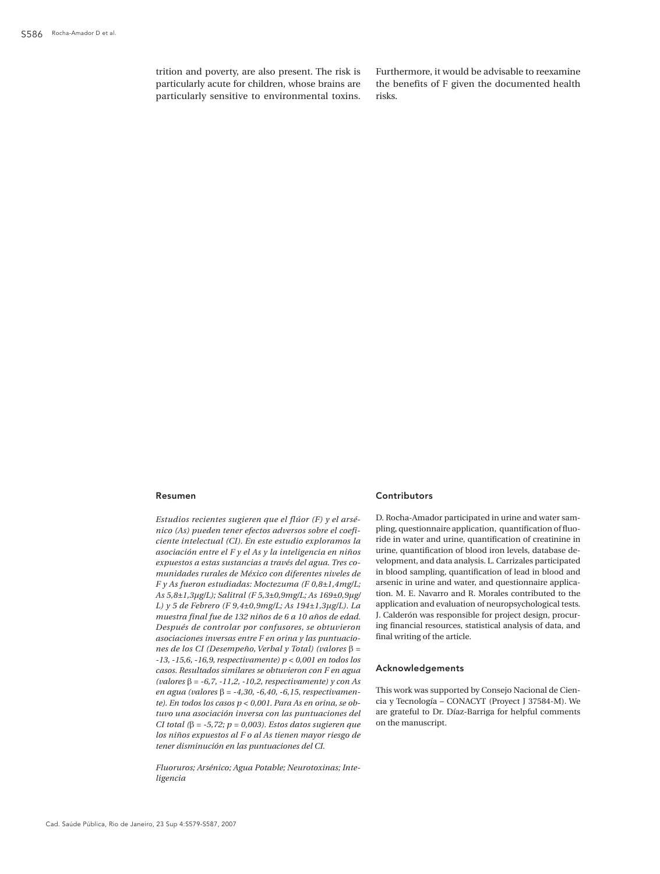trition and poverty, are also present. The risk is particularly acute for children, whose brains are particularly sensitive to environmental toxins. Furthermore, it would be advisable to reexamine the benefits of F given the documented health risks.

### Resumen

*Estudios recientes sugieren que el flúor (F) y el arsénico (As) pueden tener efectos adversos sobre el coeficiente intelectual (CI). En este estudio exploramos la asociación entre el F y el As y la inteligencia en niños expuestos a estas sustancias a través del agua. Tres comunidades rurales de México con diferentes niveles de F y As fueron estudiadas: Moctezuma (F 0,8±1,4mg/L; As 5,8±1,3µg/L); Salitral (F 5,3±0,9mg/L; As 169±0,9µg/ L) y 5 de Febrero (F 9,4±0,9mg/L; As 194±1,3µg/L). La muestra final fue de 132 niños de 6 a 10 años de edad. Después de controlar por confusores, se obtuvieron asociaciones inversas entre F en orina y las puntuaciones de los CI (Desempeño, Verbal y Total) (valores* β *= -13, -15,6, -16,9, respectivamente) p < 0,001 en todos los casos. Resultados similares se obtuvieron con F en agua (valores* β *= -6,7, -11,2, -10,2, respectivamente) y con As en agua (valores* β *= -4,30, -6,40, -6,15, respectivamente). En todos los casos p < 0,001. Para As en orina, se obtuvo una asociación inversa con las puntuaciones del CI total (*β *= -5,72; p = 0,003). Estos datos sugieren que los niños expuestos al F o al As tienen mayor riesgo de tener disminución en las puntuaciones del CI.*

*Fluoruros; Arsénico; Agua Potable; Neurotoxinas; Inteligencia*

### **Contributors**

D. Rocha-Amador participated in urine and water sampling, questionnaire application, quantification of fluoride in water and urine, quantification of creatinine in urine, quantification of blood iron levels, database development, and data analysis. L. Carrizales participated in blood sampling, quantification of lead in blood and arsenic in urine and water, and questionnaire application. M. E. Navarro and R. Morales contributed to the application and evaluation of neuropsychological tests. J. Calderón was responsible for project design, procuring financial resources, statistical analysis of data, and final writing of the article.

### Acknowledgements

This work was supported by Consejo Nacional de Ciencia y Tecnología – CONACYT (Proyect J 37584-M). We are grateful to Dr. Díaz-Barriga for helpful comments on the manuscript.